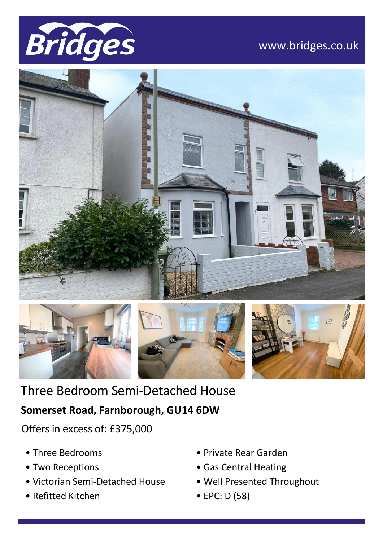

# www.bridges.co.uk





# Three Bedroom Semi-Detached House

## **Somerset Road, Farnborough, GU14 6DW**

Offers in excess of: £375,000

- Three Bedrooms
- Two Receptions
- Victorian Semi-Detached House
- Refitted Kitchen
- Private Rear Garden
- Gas Central Heating
- Well Presented Throughout

 $\mathcal{P}(\mathcal{P}(\mathcal{P})) = \mathcal{P}(\mathcal{P}(\mathcal{P}))$  . The contribution  $\mathcal{P}(\mathcal{P})$ 

• EPC: D (58)